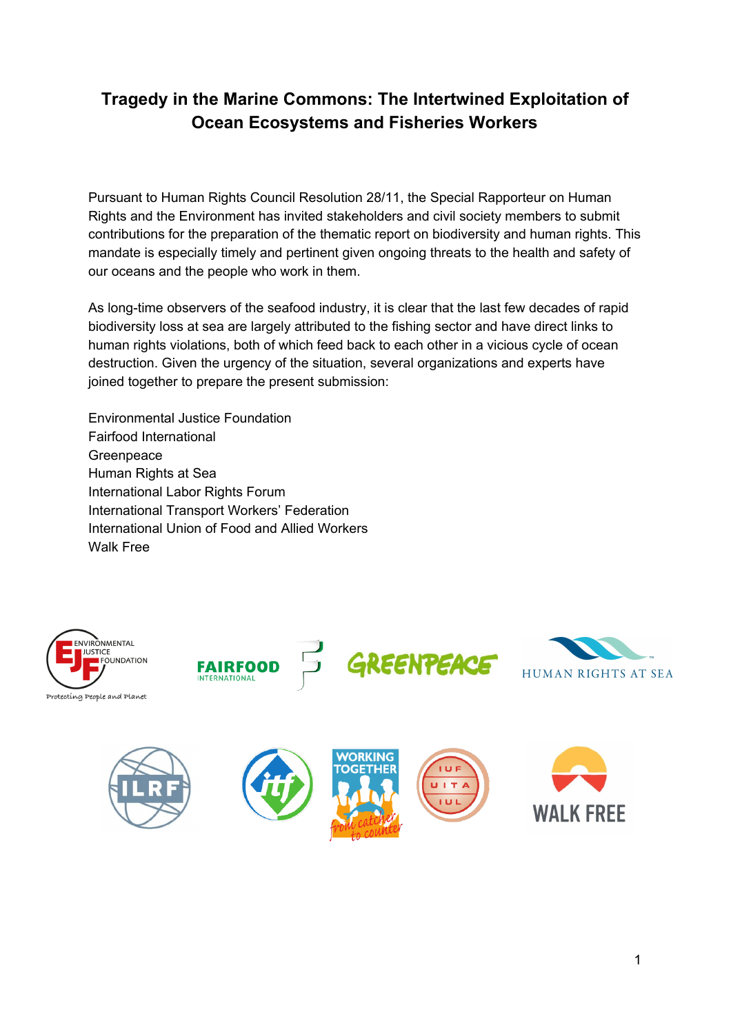# **Tragedy in the Marine Commons: The Intertwined Exploitation of Ocean Ecosystems and Fisheries Workers**

Pursuant to Human Rights Council Resolution 28/11, the Special Rapporteur on Human Rights and the Environment has invited stakeholders and civil society members to submit contributions for the preparation of the thematic report on biodiversity and human rights. This mandate is especially timely and pertinent given ongoing threats to the health and safety of our oceans and the people who work in them.

As long-time observers of the seafood industry, it is clear that the last few decades of rapid biodiversity loss at sea are largely attributed to the fishing sector and have direct links to human rights violations, both of which feed back to each other in a vicious cycle of ocean destruction. Given the urgency of the situation, several organizations and experts have joined together to prepare the present submission:

Environmental Justice Foundation Fairfood International **Greenpeace** Human Rights at Sea International Labor Rights Forum International Transport Workers' Federation International Union of Food and Allied Workers Walk Free





**WALK FREE** 

1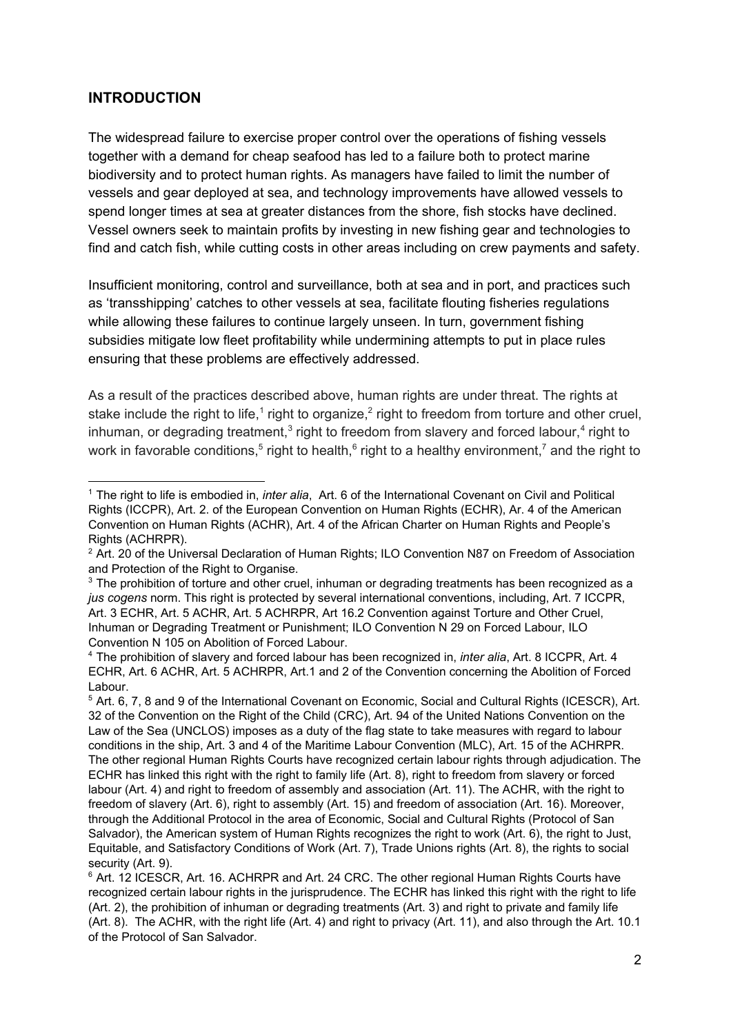### **INTRODUCTION**

The widespread failure to exercise proper control over the operations of fishing vessels together with a demand for cheap seafood has led to a failure both to protect marine biodiversity and to protect human rights. As managers have failed to limit the number of vessels and gear deployed at sea, and technology improvements have allowed vessels to spend longer times at sea at greater distances from the shore, fish stocks have declined. Vessel owners seek to maintain profits by investing in new fishing gear and technologies to find and catch fish, while cutting costs in other areas including on crew payments and safety.

Insufficient monitoring, control and surveillance, both at sea and in port, and practices such as 'transshipping' catches to other vessels at sea, facilitate flouting fisheries regulations while allowing these failures to continue largely unseen. In turn, government fishing subsidies mitigate low fleet profitability while undermining attempts to put in place rules ensuring that these problems are effectively addressed.

As a result of the practices described above, human rights are under threat. The rights at stake include the right to life,<sup>1</sup> right to organize,<sup>2</sup> right to freedom from torture and other cruel, inhuman, or degrading treatment,<sup>3</sup> right to freedom from slavery and forced labour,<sup>4</sup> right to work in favorable conditions,<sup>5</sup> right to health,<sup>6</sup> right to a healthy environment,<sup>7</sup> and the right to

<sup>1</sup> The right to life is embodied in, *inter alia*, Art. 6 of the International Covenant on Civil and Political Rights (ICCPR), Art. 2. of the European Convention on Human Rights (ECHR), Ar. 4 of the American Convention on Human Rights (ACHR), Art. 4 of the African Charter on Human Rights and People's Rights (ACHRPR).

<sup>&</sup>lt;sup>2</sup> Art. 20 of the Universal Declaration of Human Rights; ILO Convention N87 on Freedom of Association and Protection of the Right to Organise.

 $3$  The prohibition of torture and other cruel, inhuman or degrading treatments has been recognized as a *jus cogens* norm. This right is protected by several international conventions, including, Art. 7 ICCPR, Art. 3 ECHR, Art. 5 ACHR, Art. 5 ACHRPR, Art 16.2 Convention against Torture and Other Cruel, Inhuman or Degrading Treatment or Punishment; ILO Convention N 29 on Forced Labour, ILO Convention N 105 on Abolition of Forced Labour.

<sup>4</sup> The prohibition of slavery and forced labour has been recognized in, *inter alia*, Art. 8 ICCPR, Art. 4 ECHR, Art. 6 ACHR, Art. 5 ACHRPR, Art.1 and 2 of the Convention concerning the Abolition of Forced Labour.

<sup>&</sup>lt;sup>5</sup> Art. 6, 7, 8 and 9 of the International Covenant on Economic, Social and Cultural Rights (ICESCR), Art. 32 of the Convention on the Right of the Child (CRC), Art. 94 of the United Nations Convention on the Law of the Sea (UNCLOS) imposes as a duty of the flag state to take measures with regard to labour conditions in the ship, Art. 3 and 4 of the Maritime Labour Convention (MLC), Art. 15 of the ACHRPR. The other regional Human Rights Courts have recognized certain labour rights through adjudication. The ECHR has linked this right with the right to family life (Art. 8), right to freedom from slavery or forced labour (Art. 4) and right to freedom of assembly and association (Art. 11). The ACHR, with the right to freedom of slavery (Art. 6), right to assembly (Art. 15) and freedom of association (Art. 16). Moreover, through the Additional Protocol in the area of Economic, Social and Cultural Rights (Protocol of San Salvador), the American system of Human Rights recognizes the right to work (Art. 6), the right to Just, Equitable, and Satisfactory Conditions of Work (Art. 7), Trade Unions rights (Art. 8), the rights to social security (Art. 9).

<sup>6</sup> Art. 12 ICESCR, Art. 16. ACHRPR and Art. 24 CRC. The other regional Human Rights Courts have recognized certain labour rights in the jurisprudence. The ECHR has linked this right with the right to life (Art. 2), the prohibition of inhuman or degrading treatments (Art. 3) and right to private and family life (Art. 8). The ACHR, with the right life (Art. 4) and right to privacy (Art. 11), and also through the Art. 10.1 of the Protocol of San Salvador.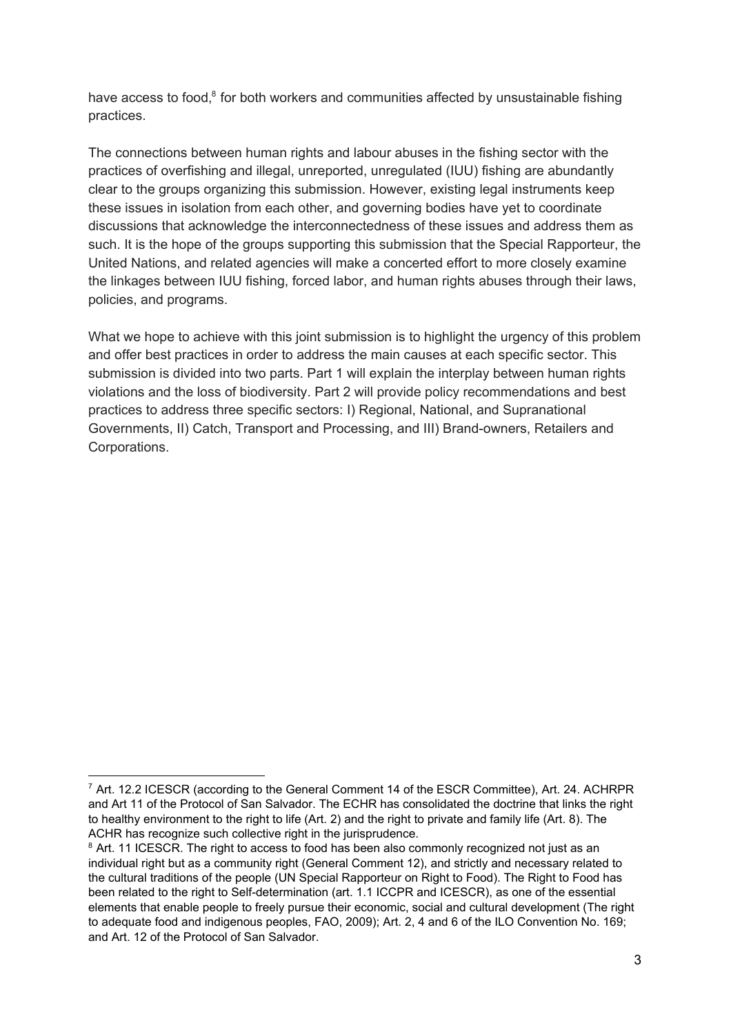have access to food,<sup>8</sup> for both workers and communities affected by unsustainable fishing practices.

The connections between human rights and labour abuses in the fishing sector with the practices of overfishing and illegal, unreported, unregulated (IUU) fishing are abundantly clear to the groups organizing this submission. However, existing legal instruments keep these issues in isolation from each other, and governing bodies have yet to coordinate discussions that acknowledge the interconnectedness of these issues and address them as such. It is the hope of the groups supporting this submission that the Special Rapporteur, the United Nations, and related agencies will make a concerted effort to more closely examine the linkages between IUU fishing, forced labor, and human rights abuses through their laws, policies, and programs.

What we hope to achieve with this joint submission is to highlight the urgency of this problem and offer best practices in order to address the main causes at each specific sector. This submission is divided into two parts. Part 1 will explain the interplay between human rights violations and the loss of biodiversity. Part 2 will provide policy recommendations and best practices to address three specific sectors: I) Regional, National, and Supranational Governments, II) Catch, Transport and Processing, and III) Brand-owners, Retailers and Corporations.

<sup>&</sup>lt;sup>7</sup> Art. 12.2 ICESCR (according to the General Comment 14 of the ESCR Committee), Art. 24. ACHRPR and Art 11 of the Protocol of San Salvador. The ECHR has consolidated the doctrine that links the right to healthy environment to the right to life (Art. 2) and the right to private and family life (Art. 8). The ACHR has recognize such collective right in the jurisprudence.

<sup>&</sup>lt;sup>8</sup> Art. 11 ICESCR. The right to access to food has been also commonly recognized not just as an individual right but as a community right (General Comment 12), and strictly and necessary related to the cultural traditions of the people (UN Special Rapporteur on Right to Food). The Right to Food has been related to the right to Self-determination (art. 1.1 ICCPR and ICESCR), as one of the essential elements that enable people to freely pursue their economic, social and cultural development (The right to adequate food and indigenous peoples, FAO, 2009); Art. 2, 4 and 6 of the ILO Convention No. 169; and Art. 12 of the Protocol of San Salvador.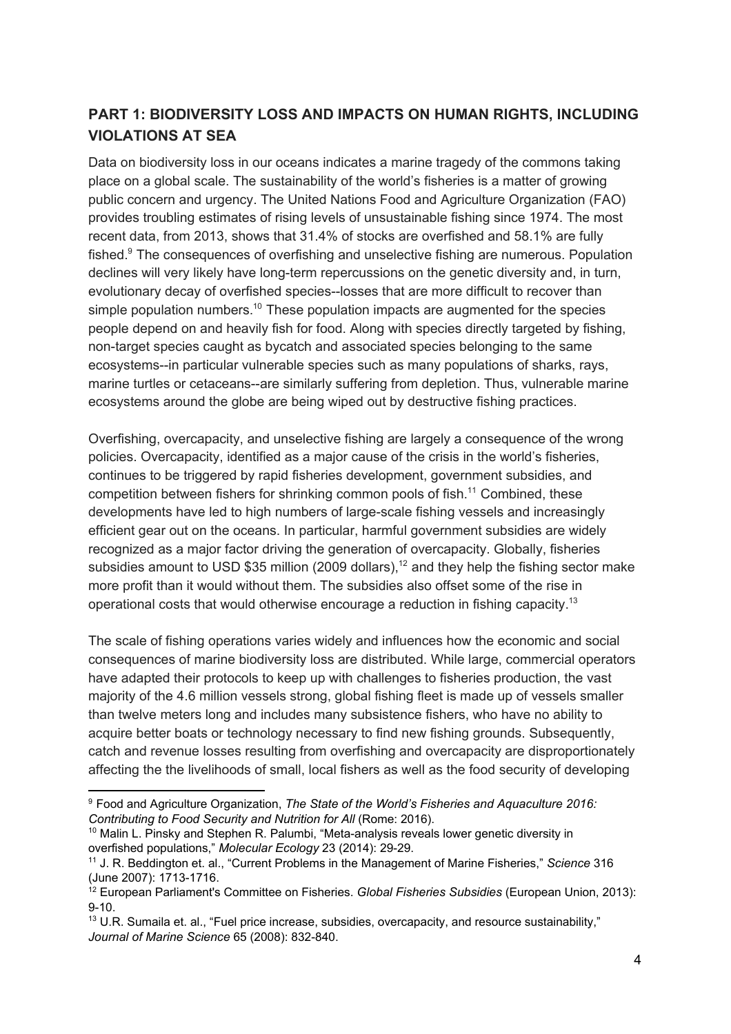# **PART 1: BIODIVERSITY LOSS AND IMPACTS ON HUMAN RIGHTS, INCLUDING VIOLATIONS AT SEA**

Data on biodiversity loss in our oceans indicates a marine tragedy of the commons taking place on a global scale. The sustainability of the world's fisheries is a matter of growing public concern and urgency. The United Nations Food and Agriculture Organization (FAO) provides troubling estimates of rising levels of unsustainable fishing since 1974. The most recent data, from 2013, shows that 31.4% of stocks are overfished and 58.1% are fully fished.<sup>9</sup> The consequences of overfishing and unselective fishing are numerous. Population declines will very likely have long-term repercussions on the genetic diversity and, in turn, evolutionary decay of overfished species--losses that are more difficult to recover than simple population numbers.<sup>10</sup> These population impacts are augmented for the species people depend on and heavily fish for food. Along with species directly targeted by fishing, non-target species caught as bycatch and associated species belonging to the same ecosystems--in particular vulnerable species such as many populations of sharks, rays, marine turtles or cetaceans--are similarly suffering from depletion. Thus, vulnerable marine ecosystems around the globe are being wiped out by destructive fishing practices.

Overfishing, overcapacity, and unselective fishing are largely a consequence of the wrong policies. Overcapacity, identified as a major cause of the crisis in the world's fisheries, continues to be triggered by rapid fisheries development, government subsidies, and competition between fishers for shrinking common pools of fish.<sup>11</sup> Combined, these developments have led to high numbers of large-scale fishing vessels and increasingly efficient gear out on the oceans. In particular, harmful government subsidies are widely recognized as a major factor driving the generation of overcapacity. Globally, fisheries subsidies amount to USD \$35 million (2009 dollars),<sup>12</sup> and they help the fishing sector make more profit than it would without them. The subsidies also offset some of the rise in operational costs that would otherwise encourage a reduction in fishing capacity.<sup>13</sup>

The scale of fishing operations varies widely and influences how the economic and social consequences of marine biodiversity loss are distributed. While large, commercial operators have adapted their protocols to keep up with challenges to fisheries production, the vast majority of the 4.6 million vessels strong, global fishing fleet is made up of vessels smaller than twelve meters long and includes many subsistence fishers, who have no ability to acquire better boats or technology necessary to find new fishing grounds. Subsequently, catch and revenue losses resulting from overfishing and overcapacity are disproportionately affecting the the livelihoods of small, local fishers as well as the food security of developing

<sup>9</sup> Food and Agriculture Organization, *The State of the World's Fisheries and Aquaculture 2016: Contributing to Food Security and Nutrition for All* (Rome: 2016).

 $10$  Malin L. Pinsky and Stephen R. Palumbi, "Meta-analysis reveals lower genetic diversity in overfished populations," *Molecular Ecology* 23 (2014): 29-29.

<sup>11</sup> J. R. Beddington et. al., "Current Problems in the Management of Marine Fisheries," *Science* 316 (June 2007): 1713-1716.

<sup>12</sup> European Parliament's Committee on Fisheries. *Global Fisheries Subsidies* (European Union, 2013): 9-10.

 $13$  U.R. Sumaila et. al., "Fuel price increase, subsidies, overcapacity, and resource sustainability," *Journal of Marine Science* 65 (2008): 832-840.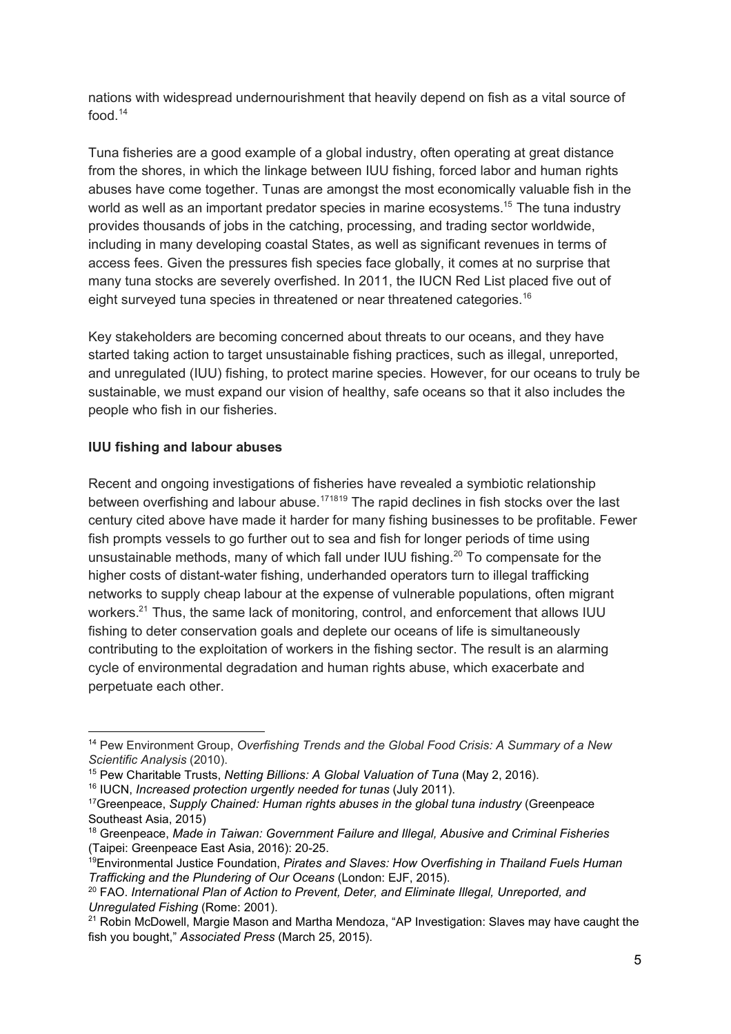nations with widespread undernourishment that heavily depend on fish as a vital source of food  $14$ 

Tuna fisheries are a good example of a global industry, often operating at great distance from the shores, in which the linkage between IUU fishing, forced labor and human rights abuses have come together. Tunas are amongst the most economically valuable fish in the world as well as an important predator species in marine ecosystems.<sup>15</sup> The tuna industry provides thousands of jobs in the catching, processing, and trading sector worldwide, including in many developing coastal States, as well as significant revenues in terms of access fees. Given the pressures fish species face globally, it comes at no surprise that many tuna stocks are severely overfished. In 2011, the IUCN Red List placed five out of eight surveyed tuna species in threatened or near threatened categories.<sup>16</sup>

Key stakeholders are becoming concerned about threats to our oceans, and they have started taking action to target unsustainable fishing practices, such as illegal, unreported, and unregulated (IUU) fishing, to protect marine species. However, for our oceans to truly be sustainable, we must expand our vision of healthy, safe oceans so that it also includes the people who fish in our fisheries.

### **IUU fishing and labour abuses**

Recent and ongoing investigations of fisheries have revealed a symbiotic relationship between overfishing and labour abuse.<sup>171819</sup> The rapid declines in fish stocks over the last century cited above have made it harder for many fishing businesses to be profitable. Fewer fish prompts vessels to go further out to sea and fish for longer periods of time using unsustainable methods, many of which fall under IUU fishing.<sup>20</sup> To compensate for the higher costs of distant-water fishing, underhanded operators turn to illegal trafficking networks to supply cheap labour at the expense of vulnerable populations, often migrant workers. $21$  Thus, the same lack of monitoring, control, and enforcement that allows IUU fishing to deter conservation goals and deplete our oceans of life is simultaneously contributing to the exploitation of workers in the fishing sector. The result is an alarming cycle of environmental degradation and human rights abuse, which exacerbate and perpetuate each other.

<sup>14</sup> Pew Environment Group, *Overfishing Trends and the Global Food Crisis: A Summary of a New Scientific Analysis* (2010).

<sup>15</sup> Pew Charitable Trusts, *Netting Billions: A Global Valuation of Tuna* (May 2, 2016).

<sup>16</sup> IUCN, *Increased protection urgently needed for tunas* (July 2011).

<sup>17</sup>Greenpeace, *Supply Chained: Human rights abuses in the global tuna industry* (Greenpeace Southeast Asia, 2015)

<sup>18</sup> Greenpeace, *Made in Taiwan: Government Failure and Illegal, Abusive and Criminal Fisheries* (Taipei: Greenpeace East Asia, 2016): 20-25.

<sup>19</sup>Environmental Justice Foundation, *Pirates and Slaves: How Overfishing in Thailand Fuels Human Trafficking and the Plundering of Our Oceans* (London: EJF, 2015).

<sup>20</sup> FAO. *International Plan of Action to Prevent, Deter, and Eliminate Illegal, Unreported, and Unregulated Fishing* (Rome: 2001).

 $21$  Robin McDowell, Margie Mason and Martha Mendoza, "AP Investigation: Slaves may have caught the fish you bought," *Associated Press* (March 25, 2015).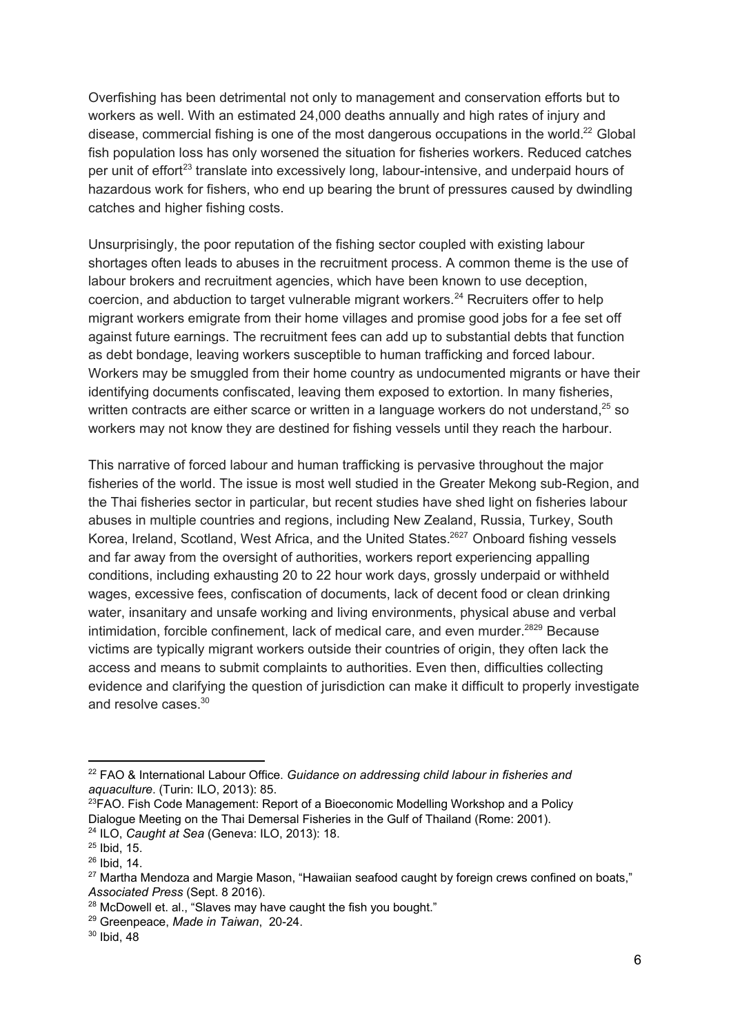Overfishing has been detrimental not only to management and conservation efforts but to workers as well. With an estimated 24,000 deaths annually and high rates of injury and disease, commercial fishing is one of the most dangerous occupations in the world.<sup>22</sup> Global fish population loss has only worsened the situation for fisheries workers. Reduced catches per unit of effort<sup>23</sup> translate into excessively long, labour-intensive, and underpaid hours of hazardous work for fishers, who end up bearing the brunt of pressures caused by dwindling catches and higher fishing costs.

Unsurprisingly, the poor reputation of the fishing sector coupled with existing labour shortages often leads to abuses in the recruitment process. A common theme is the use of labour brokers and recruitment agencies, which have been known to use deception, coercion, and abduction to target vulnerable migrant workers.<sup>24</sup> Recruiters offer to help migrant workers emigrate from their home villages and promise good jobs for a fee set off against future earnings. The recruitment fees can add up to substantial debts that function as debt bondage, leaving workers susceptible to human trafficking and forced labour. Workers may be smuggled from their home country as undocumented migrants or have their identifying documents confiscated, leaving them exposed to extortion. In many fisheries, written contracts are either scarce or written in a language workers do not understand.<sup>25</sup> so workers may not know they are destined for fishing vessels until they reach the harbour.

This narrative of forced labour and human trafficking is pervasive throughout the major fisheries of the world. The issue is most well studied in the Greater Mekong sub-Region, and the Thai fisheries sector in particular, but recent studies have shed light on fisheries labour abuses in multiple countries and regions, including New Zealand, Russia, Turkey, South Korea, Ireland, Scotland, West Africa, and the United States.<sup>2627</sup> Onboard fishing vessels and far away from the oversight of authorities, workers report experiencing appalling conditions, including exhausting 20 to 22 hour work days, grossly underpaid or withheld wages, excessive fees, confiscation of documents, lack of decent food or clean drinking water, insanitary and unsafe working and living environments, physical abuse and verbal intimidation, forcible confinement, lack of medical care, and even murder.<sup>2829</sup> Because victims are typically migrant workers outside their countries of origin, they often lack the access and means to submit complaints to authorities. Even then, difficulties collecting evidence and clarifying the question of jurisdiction can make it difficult to properly investigate and resolve cases.<sup>30</sup>

<sup>22</sup> FAO & International Labour Office. *Guidance on addressing child labour in fisheries and aquaculture*. (Turin: ILO, 2013): 85.

 $23$ FAO. Fish Code Management: Report of a Bioeconomic Modelling Workshop and a Policy Dialogue Meeting on the Thai Demersal Fisheries in the Gulf of Thailand (Rome: 2001). <sup>24</sup> ILO, *Caught at Sea* (Geneva: ILO, 2013): 18.

 $25$  Ibid, 15.

 $26$  Ibid, 14.

<sup>&</sup>lt;sup>27</sup> Martha Mendoza and Margie Mason, "Hawaiian seafood caught by foreign crews confined on boats," *Associated Press* (Sept. 8 2016).

<sup>&</sup>lt;sup>28</sup> McDowell et. al., "Slaves may have caught the fish you bought."

<sup>29</sup> Greenpeace, *Made in Taiwan*, 20-24.

<sup>30</sup> Ibid, 48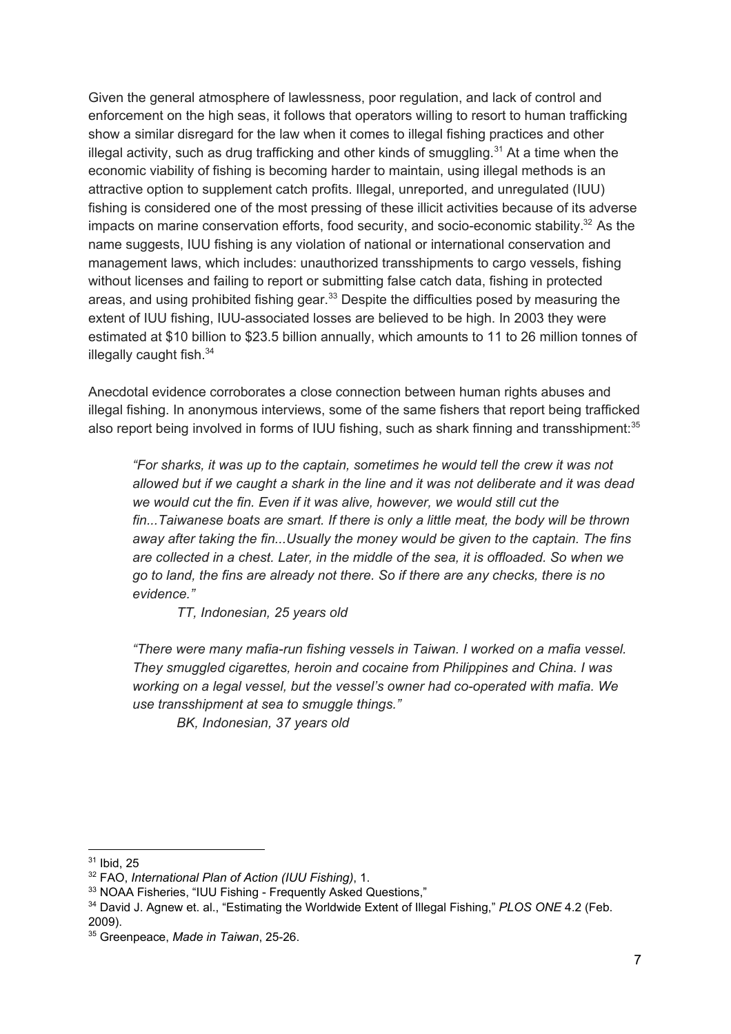Given the general atmosphere of lawlessness, poor regulation, and lack of control and enforcement on the high seas, it follows that operators willing to resort to human trafficking show a similar disregard for the law when it comes to illegal fishing practices and other illegal activity, such as drug trafficking and other kinds of smuggling. $31$  At a time when the economic viability of fishing is becoming harder to maintain, using illegal methods is an attractive option to supplement catch profits. Illegal, unreported, and unregulated (IUU) fishing is considered one of the most pressing of these illicit activities because of its adverse impacts on marine conservation efforts, food security, and socio-economic stability.<sup>32</sup> As the name suggests, IUU fishing is any violation of national or international conservation and management laws, which includes: unauthorized transshipments to cargo vessels, fishing without licenses and failing to report or submitting false catch data, fishing in protected areas, and using prohibited fishing gear. $33$  Despite the difficulties posed by measuring the extent of IUU fishing, IUU-associated losses are believed to be high. In 2003 they were estimated at \$10 billion to \$23.5 billion annually, which amounts to 11 to 26 million tonnes of illegally caught fish.<sup>34</sup>

Anecdotal evidence corroborates a close connection between human rights abuses and illegal fishing. In anonymous interviews, some of the same fishers that report being trafficked also report being involved in forms of IUU fishing, such as shark finning and transshipment:<sup>35</sup>

*"For sharks, it was up to the captain, sometimes he would tell the crew it was not allowed but if we caught a shark in the line and it was not deliberate and it was dead we would cut the fin. Even if it was alive, however, we would still cut the fin...Taiwanese boats are smart. If there is only a little meat, the body will be thrown away after taking the fin...Usually the money would be given to the captain. The fins are collected in a chest. Later, in the middle of the sea, it is offloaded. So when we go to land, the fins are already not there. So if there are any checks, there is no evidence."*

*TT, Indonesian, 25 years old*

*"There were many mafia-run fishing vessels in Taiwan. I worked on a mafia vessel. They smuggled cigarettes, heroin and cocaine from Philippines and China. I was working on a legal vessel, but the vessel's owner had co-operated with mafia. We use transshipment at sea to smuggle things."*

*BK, Indonesian, 37 years old*

<sup>31</sup> Ibid, 25

<sup>32</sup> FAO, *International Plan of Action (IUU Fishing)*, 1.

<sup>&</sup>lt;sup>33</sup> NOAA Fisheries, "IUU Fishing - Frequently Asked Questions,"

<sup>34</sup> David J. Agnew et. al., "Estimating the Worldwide Extent of Illegal Fishing," *PLOS ONE* 4.2 (Feb. 2009).

<sup>35</sup> Greenpeace, *Made in Taiwan*, 25-26.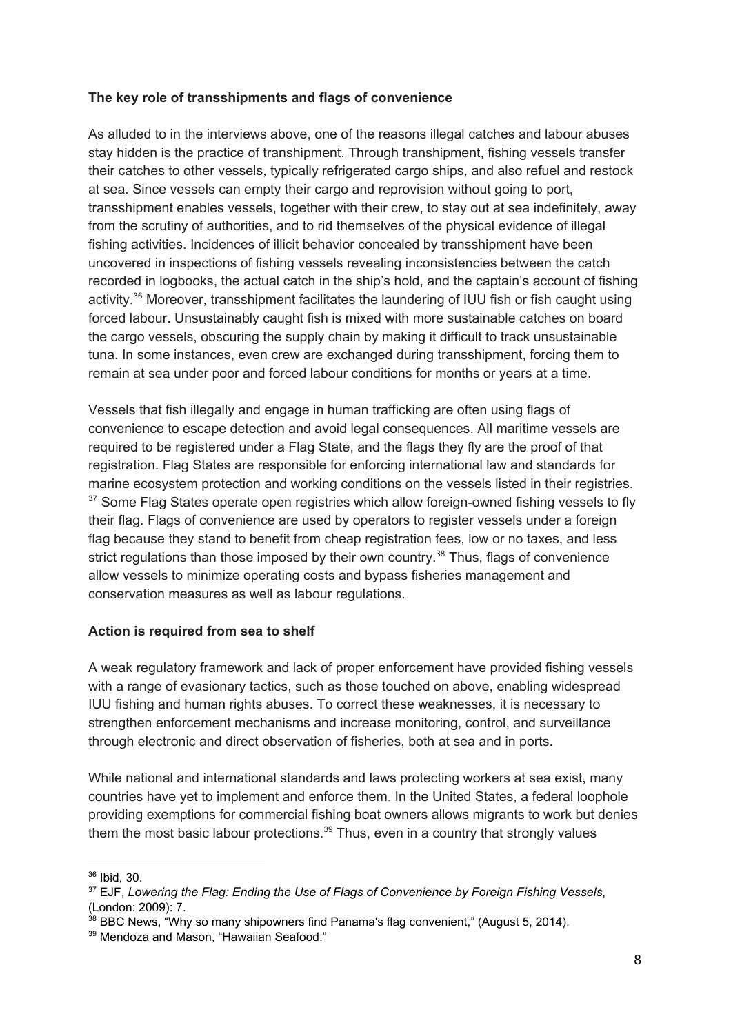### **The key role of transshipments and flags of convenience**

As alluded to in the interviews above, one of the reasons illegal catches and labour abuses stay hidden is the practice of transhipment. Through transhipment, fishing vessels transfer their catches to other vessels, typically refrigerated cargo ships, and also refuel and restock at sea. Since vessels can empty their cargo and reprovision without going to port, transshipment enables vessels, together with their crew, to stay out at sea indefinitely, away from the scrutiny of authorities, and to rid themselves of the physical evidence of illegal fishing activities. Incidences of illicit behavior concealed by transshipment have been uncovered in inspections of fishing vessels revealing inconsistencies between the catch recorded in logbooks, the actual catch in the ship's hold, and the captain's account of fishing activity.<sup>36</sup> Moreover, transshipment facilitates the laundering of IUU fish or fish caught using forced labour. Unsustainably caught fish is mixed with more sustainable catches on board the cargo vessels, obscuring the supply chain by making it difficult to track unsustainable tuna. In some instances, even crew are exchanged during transshipment, forcing them to remain at sea under poor and forced labour conditions for months or years at a time.

Vessels that fish illegally and engage in human trafficking are often using flags of convenience to escape detection and avoid legal consequences. All maritime vessels are required to be registered under a Flag State, and the flags they fly are the proof of that registration. Flag States are responsible for enforcing international law and standards for marine ecosystem protection and working conditions on the vessels listed in their registries.  $37$  Some Flag States operate open registries which allow foreign-owned fishing vessels to fly their flag. Flags of convenience are used by operators to register vessels under a foreign flag because they stand to benefit from cheap registration fees, low or no taxes, and less strict regulations than those imposed by their own country.<sup>38</sup> Thus, flags of convenience allow vessels to minimize operating costs and bypass fisheries management and conservation measures as well as labour regulations.

### **Action is required from sea to shelf**

A weak regulatory framework and lack of proper enforcement have provided fishing vessels with a range of evasionary tactics, such as those touched on above, enabling widespread IUU fishing and human rights abuses. To correct these weaknesses, it is necessary to strengthen enforcement mechanisms and increase monitoring, control, and surveillance through electronic and direct observation of fisheries, both at sea and in ports.

While national and international standards and laws protecting workers at sea exist, many countries have yet to implement and enforce them. In the United States, a federal loophole providing exemptions for commercial fishing boat owners allows migrants to work but denies them the most basic labour protections. $39$  Thus, even in a country that strongly values

<sup>36</sup> Ibid, 30.

<sup>37</sup> EJF, *Lowering the Flag: Ending the Use of Flags of Convenience by Foreign Fishing Vessels*, (London: 2009): 7.

 $38$  BBC News, "Why so many shipowners find Panama's flag convenient," (August 5, 2014).

<sup>&</sup>lt;sup>39</sup> Mendoza and Mason, "Hawaiian Seafood."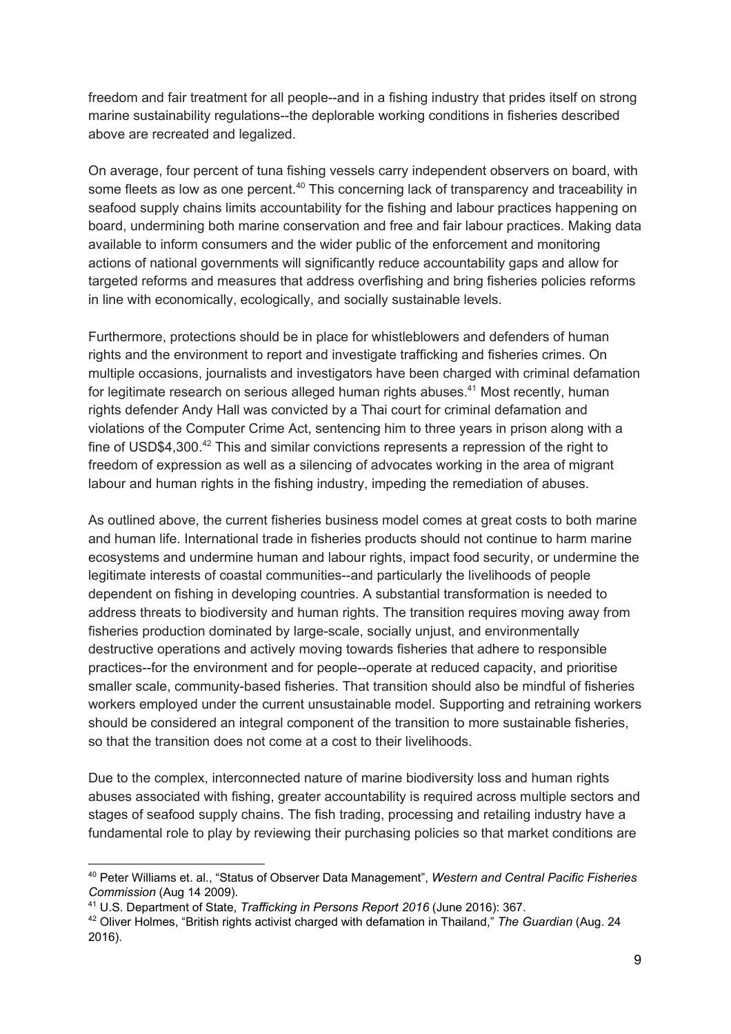freedom and fair treatment for all people--and in a fishing industry that prides itself on strong marine sustainability regulations--the deplorable working conditions in fisheries described above are recreated and legalized.

On average, four percent of tuna fishing vessels carry independent observers on board, with some fleets as low as one percent. $40$  This concerning lack of transparency and traceability in seafood supply chains limits accountability for the fishing and labour practices happening on board, undermining both marine conservation and free and fair labour practices. Making data available to inform consumers and the wider public of the enforcement and monitoring actions of national governments will significantly reduce accountability gaps and allow for targeted reforms and measures that address overfishing and bring fisheries policies reforms in line with economically, ecologically, and socially sustainable levels.

Furthermore, protections should be in place for whistleblowers and defenders of human rights and the environment to report and investigate trafficking and fisheries crimes. On multiple occasions, journalists and investigators have been charged with criminal defamation for legitimate research on serious alleged human rights abuses. $41$  Most recently, human rights defender Andy Hall was convicted by a Thai court for criminal defamation and violations of the Computer Crime Act, sentencing him to three years in prison along with a fine of USD\$4,300. $42$  This and similar convictions represents a repression of the right to freedom of expression as well as a silencing of advocates working in the area of migrant labour and human rights in the fishing industry, impeding the remediation of abuses.

As outlined above, the current fisheries business model comes at great costs to both marine and human life. International trade in fisheries products should not continue to harm marine ecosystems and undermine human and labour rights, impact food security, or undermine the legitimate interests of coastal communities--and particularly the livelihoods of people dependent on fishing in developing countries. A substantial transformation is needed to address threats to biodiversity and human rights. The transition requires moving away from fisheries production dominated by large-scale, socially unjust, and environmentally destructive operations and actively moving towards fisheries that adhere to responsible practices--for the environment and for people--operate at reduced capacity, and prioritise smaller scale, community-based fisheries. That transition should also be mindful of fisheries workers employed under the current unsustainable model. Supporting and retraining workers should be considered an integral component of the transition to more sustainable fisheries, so that the transition does not come at a cost to their livelihoods.

Due to the complex, interconnected nature of marine biodiversity loss and human rights abuses associated with fishing, greater accountability is required across multiple sectors and stages of seafood supply chains. The fish trading, processing and retailing industry have a fundamental role to play by reviewing their purchasing policies so that market conditions are

<sup>40</sup> Peter Williams et. al., "Status of Observer Data Management", *Western and Central Pacific Fisheries Commission* (Aug 14 2009).

<sup>41</sup> U.S. Department of State, *Trafficking in Persons Report 2016* (June 2016): 367.

<sup>42</sup> Oliver Holmes, "British rights activist charged with defamation in Thailand," *The Guardian* (Aug. 24 2016).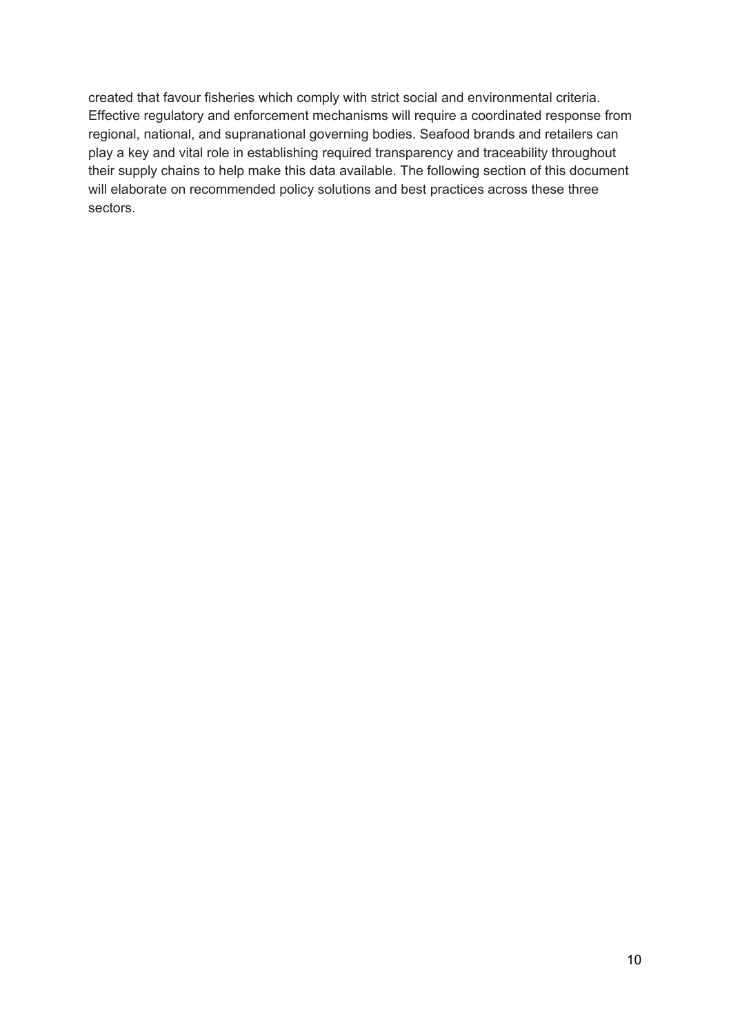created that favour fisheries which comply with strict social and environmental criteria. Effective regulatory and enforcement mechanisms will require a coordinated response from regional, national, and supranational governing bodies. Seafood brands and retailers can play a key and vital role in establishing required transparency and traceability throughout their supply chains to help make this data available. The following section of this document will elaborate on recommended policy solutions and best practices across these three sectors.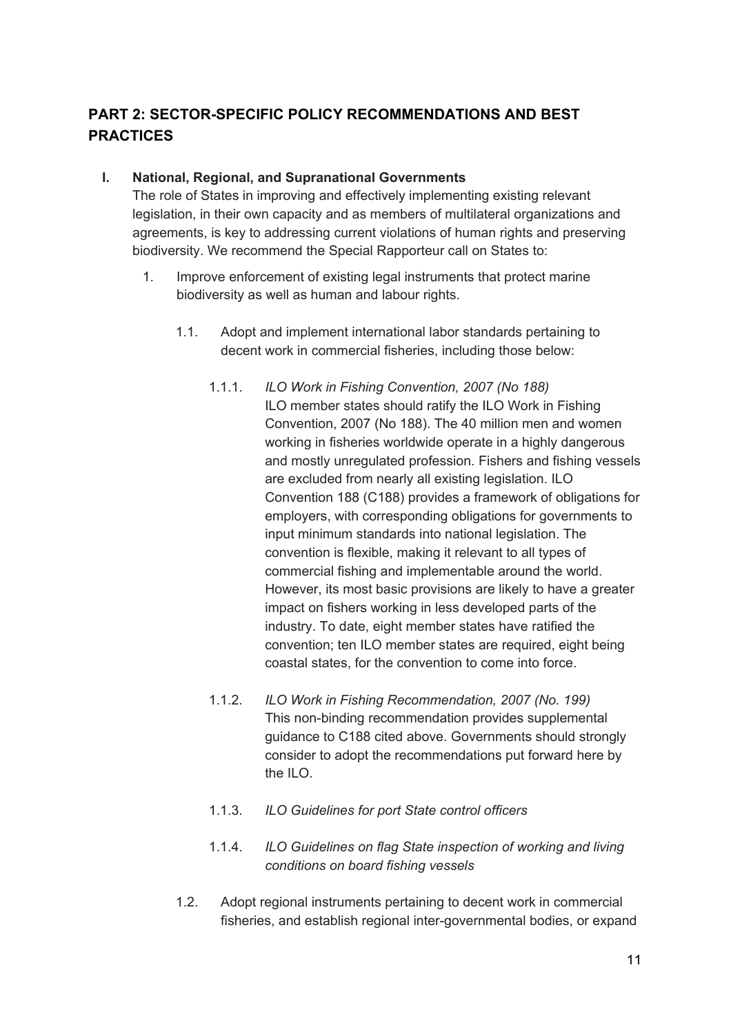# **PART 2: SECTOR-SPECIFIC POLICY RECOMMENDATIONS AND BEST PRACTICES**

### **I. National, Regional, and Supranational Governments**

The role of States in improving and effectively implementing existing relevant legislation, in their own capacity and as members of multilateral organizations and agreements, is key to addressing current violations of human rights and preserving biodiversity. We recommend the Special Rapporteur call on States to:

- 1. Improve enforcement of existing legal instruments that protect marine biodiversity as well as human and labour rights.
	- 1.1. Adopt and implement international labor standards pertaining to decent work in commercial fisheries, including those below:
		- 1.1.1. *ILO Work in Fishing Convention, 2007 (No 188)* ILO member states should ratify the ILO Work in Fishing Convention, 2007 (No 188). The 40 million men and women working in fisheries worldwide operate in a highly dangerous and mostly unregulated profession. Fishers and fishing vessels are excluded from nearly all existing legislation. ILO Convention 188 (C188) provides a framework of obligations for employers, with corresponding obligations for governments to input minimum standards into national legislation. The convention is flexible, making it relevant to all types of commercial fishing and implementable around the world. However, its most basic provisions are likely to have a greater impact on fishers working in less developed parts of the industry. To date, eight member states have ratified the convention; ten ILO member states are required, eight being coastal states, for the convention to come into force.
		- 1.1.2. *ILO Work in Fishing Recommendation, 2007 (No. 199)* This non-binding recommendation provides supplemental guidance to C188 cited above. Governments should strongly consider to adopt the recommendations put forward here by the  $II$   $O$
		- 1.1.3. *ILO Guidelines for port State control officers*
		- 1.1.4. *ILO Guidelines on flag State inspection of working and living conditions on board fishing vessels*
	- 1.2. Adopt regional instruments pertaining to decent work in commercial fisheries, and establish regional inter-governmental bodies, or expand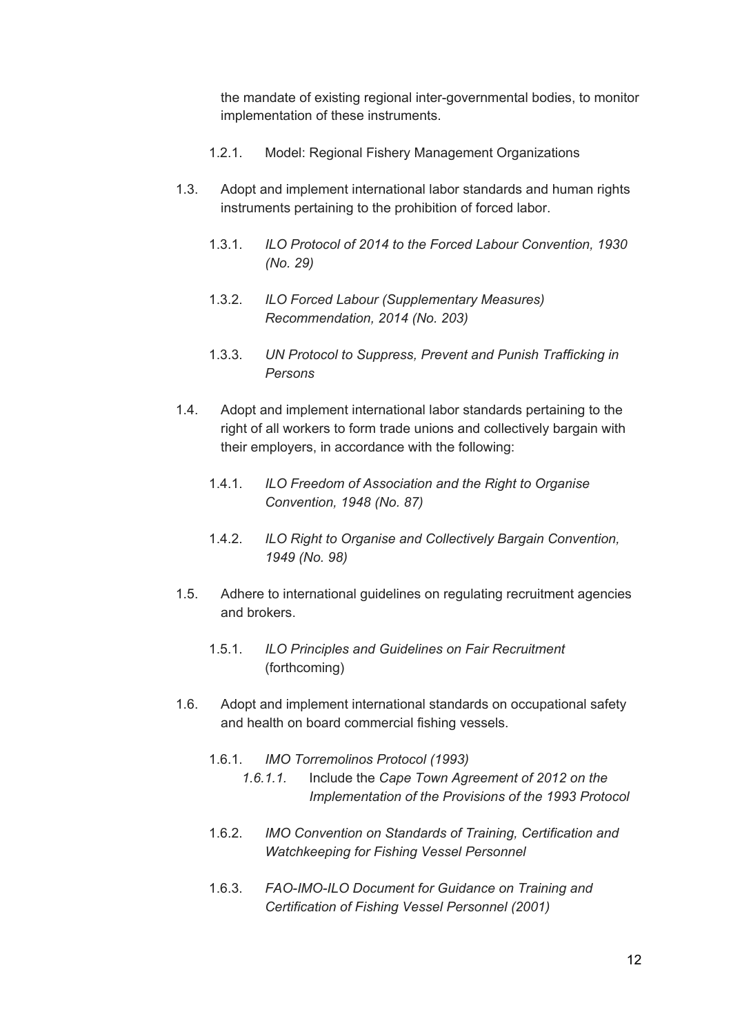the mandate of existing regional inter-governmental bodies, to monitor implementation of these instruments.

- 1.2.1. Model: Regional Fishery Management Organizations
- 1.3. Adopt and implement international labor standards and human rights instruments pertaining to the prohibition of forced labor.
	- 1.3.1. *ILO Protocol of 2014 to the Forced Labour Convention, 1930 (No. 29)*
	- 1.3.2. *ILO Forced Labour (Supplementary Measures) Recommendation, 2014 (No. 203)*
	- 1.3.3. *UN Protocol to Suppress, Prevent and Punish Trafficking in Persons*
- 1.4. Adopt and implement international labor standards pertaining to the right of all workers to form trade unions and collectively bargain with their employers, in accordance with the following:
	- 1.4.1. *ILO Freedom of Association and the Right to Organise Convention, 1948 (No. 87)*
	- 1.4.2. *ILO Right to Organise and Collectively Bargain Convention, 1949 (No. 98)*
- 1.5. Adhere to international guidelines on regulating recruitment agencies and brokers.
	- 1.5.1. *ILO Principles and Guidelines on Fair Recruitment* (forthcoming)
- 1.6. Adopt and implement international standards on occupational safety and health on board commercial fishing vessels.
	- 1.6.1. *IMO Torremolinos Protocol (1993)*
		- *1.6.1.1.* Include the *Cape Town Agreement of 2012 on the Implementation of the Provisions of the 1993 Protocol*
	- 1.6.2. *IMO Convention on Standards of Training, Certification and Watchkeeping for Fishing Vessel Personnel*
	- 1.6.3. *FAO-IMO-ILO Document for Guidance on Training and Certification of Fishing Vessel Personnel (2001)*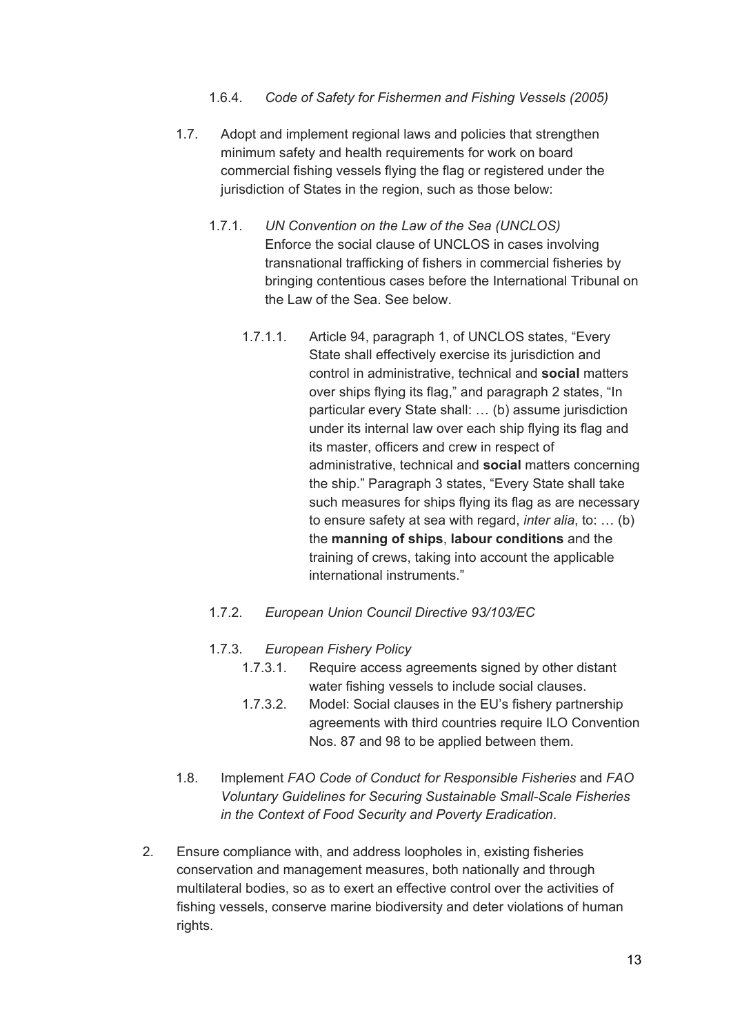#### 1.6.4. *Code of Safety for Fishermen and Fishing Vessels (2005)*

- 1.7. Adopt and implement regional laws and policies that strengthen minimum safety and health requirements for work on board commercial fishing vessels flying the flag or registered under the jurisdiction of States in the region, such as those below:
	- 1.7.1. *UN Convention on the Law of the Sea (UNCLOS)* Enforce the social clause of UNCLOS in cases involving transnational trafficking of fishers in commercial fisheries by bringing contentious cases before the International Tribunal on the Law of the Sea. See below.
		- 1.7.1.1. Article 94, paragraph 1, of UNCLOS states, "Every State shall effectively exercise its jurisdiction and control in administrative, technical and **social** matters over ships flying its flag," and paragraph 2 states, "In particular every State shall: … (b) assume jurisdiction under its internal law over each ship flying its flag and its master, officers and crew in respect of administrative, technical and **social** matters concerning the ship." Paragraph 3 states, "Every State shall take such measures for ships flying its flag as are necessary to ensure safety at sea with regard, *inter alia*, to: … (b) the **manning of ships**, **labour conditions** and the training of crews, taking into account the applicable international instruments."
	- 1.7.2. *European Union Council Directive 93/103/EC*
	- 1.7.3. *European Fishery Policy*
		- 1.7.3.1. Require access agreements signed by other distant water fishing vessels to include social clauses.
		- 1.7.3.2. Model: Social clauses in the EU's fishery partnership agreements with third countries require ILO Convention Nos. 87 and 98 to be applied between them.
- 1.8. Implement *FAO Code of Conduct for Responsible Fisheries* and *FAO Voluntary Guidelines for Securing Sustainable Small-Scale Fisheries in the Context of Food Security and Poverty Eradication*.
- 2. Ensure compliance with, and address loopholes in, existing fisheries conservation and management measures, both nationally and through multilateral bodies, so as to exert an effective control over the activities of fishing vessels, conserve marine biodiversity and deter violations of human rights.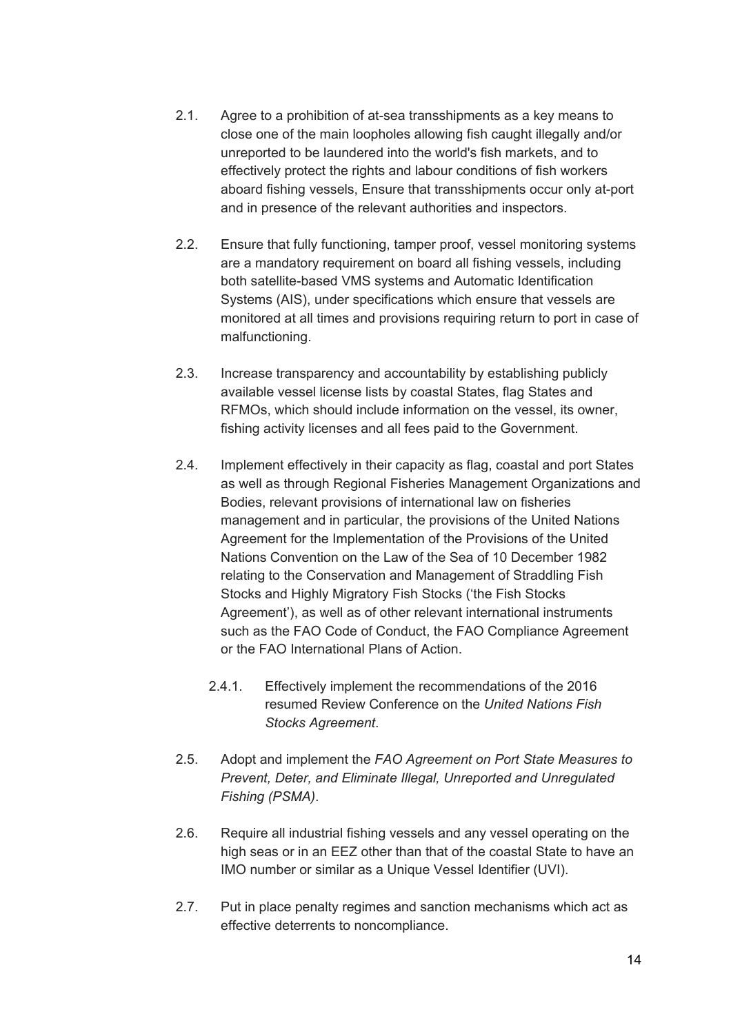- 2.1. Agree to a prohibition of at-sea transshipments as a key means to close one of the main loopholes allowing fish caught illegally and/or unreported to be laundered into the world's fish markets, and to effectively protect the rights and labour conditions of fish workers aboard fishing vessels, Ensure that transshipments occur only at-port and in presence of the relevant authorities and inspectors.
- 2.2. Ensure that fully functioning, tamper proof, vessel monitoring systems are a mandatory requirement on board all fishing vessels, including both satellite-based VMS systems and Automatic Identification Systems (AIS), under specifications which ensure that vessels are monitored at all times and provisions requiring return to port in case of malfunctioning.
- 2.3. Increase transparency and accountability by establishing publicly available vessel license lists by coastal States, flag States and RFMOs, which should include information on the vessel, its owner, fishing activity licenses and all fees paid to the Government.
- 2.4. Implement effectively in their capacity as flag, coastal and port States as well as through Regional Fisheries Management Organizations and Bodies, relevant provisions of international law on fisheries management and in particular, the provisions of the United Nations Agreement for the Implementation of the Provisions of the United Nations Convention on the Law of the Sea of 10 December 1982 relating to the Conservation and Management of Straddling Fish Stocks and Highly Migratory Fish Stocks ('the Fish Stocks Agreement'), as well as of other relevant international instruments such as the FAO Code of Conduct, the FAO Compliance Agreement or the FAO International Plans of Action.
	- 2.4.1. Effectively implement the recommendations of the 2016 resumed Review Conference on the *United Nations Fish Stocks Agreement*.
- 2.5. Adopt and implement the *FAO Agreement on Port State Measures to Prevent, Deter, and Eliminate Illegal, Unreported and Unregulated Fishing (PSMA)*.
- 2.6. Require all industrial fishing vessels and any vessel operating on the high seas or in an EEZ other than that of the coastal State to have an IMO number or similar as a Unique Vessel Identifier (UVI).
- 2.7. Put in place penalty regimes and sanction mechanisms which act as effective deterrents to noncompliance.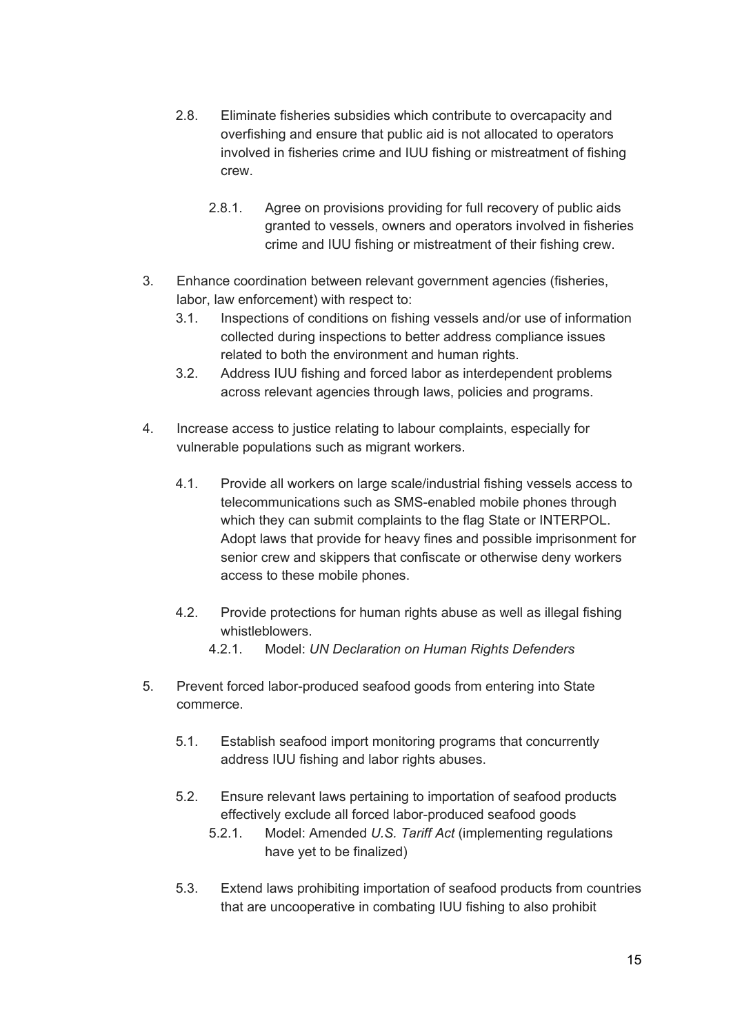- 2.8. Eliminate fisheries subsidies which contribute to overcapacity and overfishing and ensure that public aid is not allocated to operators involved in fisheries crime and IUU fishing or mistreatment of fishing crew.
	- 2.8.1. Agree on provisions providing for full recovery of public aids granted to vessels, owners and operators involved in fisheries crime and IUU fishing or mistreatment of their fishing crew.
- 3. Enhance coordination between relevant government agencies (fisheries, labor, law enforcement) with respect to:
	- 3.1. Inspections of conditions on fishing vessels and/or use of information collected during inspections to better address compliance issues related to both the environment and human rights.
	- 3.2. Address IUU fishing and forced labor as interdependent problems across relevant agencies through laws, policies and programs.
- 4. Increase access to justice relating to labour complaints, especially for vulnerable populations such as migrant workers.
	- 4.1. Provide all workers on large scale/industrial fishing vessels access to telecommunications such as SMS-enabled mobile phones through which they can submit complaints to the flag State or INTERPOL. Adopt laws that provide for heavy fines and possible imprisonment for senior crew and skippers that confiscate or otherwise deny workers access to these mobile phones.
	- 4.2. Provide protections for human rights abuse as well as illegal fishing whistleblowers.
		- 4.2.1. Model: *UN Declaration on Human Rights Defenders*
- 5. Prevent forced labor-produced seafood goods from entering into State commerce.
	- 5.1. Establish seafood import monitoring programs that concurrently address IUU fishing and labor rights abuses.
	- 5.2. Ensure relevant laws pertaining to importation of seafood products effectively exclude all forced labor-produced seafood goods
		- 5.2.1. Model: Amended *U.S. Tariff Act* (implementing regulations have yet to be finalized)
	- 5.3. Extend laws prohibiting importation of seafood products from countries that are uncooperative in combating IUU fishing to also prohibit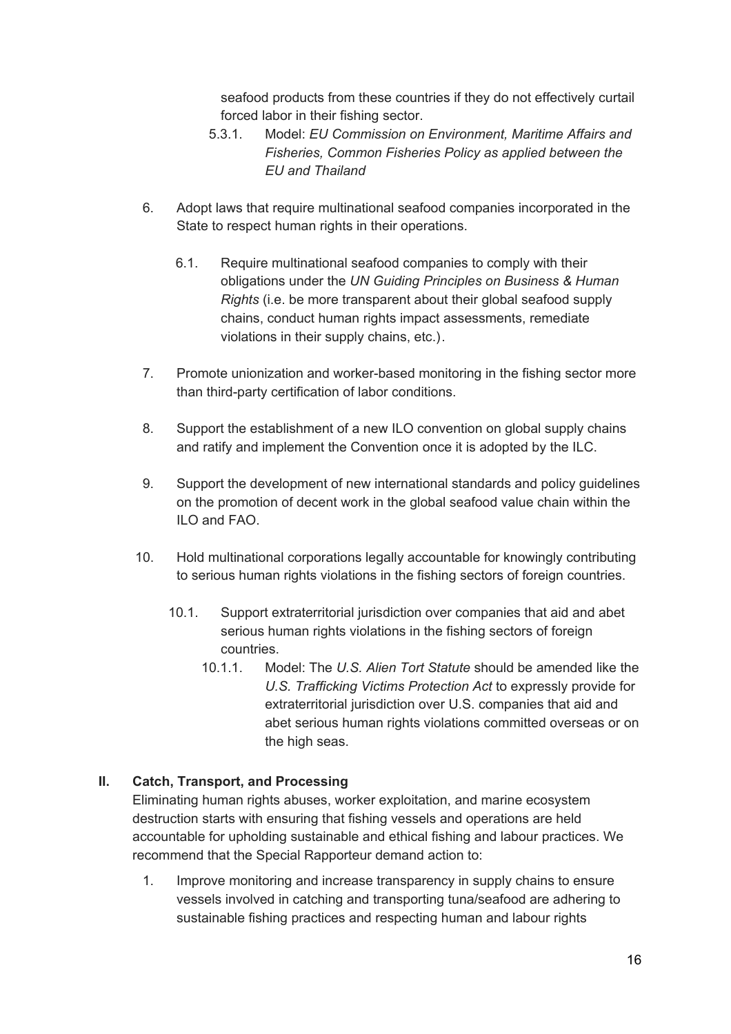seafood products from these countries if they do not effectively curtail forced labor in their fishing sector.

- 5.3.1. Model: *EU Commission on Environment, Maritime Affairs and Fisheries, Common Fisheries Policy as applied between the EU and Thailand*
- 6. Adopt laws that require multinational seafood companies incorporated in the State to respect human rights in their operations.
	- 6.1. Require multinational seafood companies to comply with their obligations under the *UN Guiding Principles on Business & Human Rights* (i.e. be more transparent about their global seafood supply chains, conduct human rights impact assessments, remediate violations in their supply chains, etc.).
- 7. Promote unionization and worker-based monitoring in the fishing sector more than third-party certification of labor conditions.
- 8. Support the establishment of a new ILO convention on global supply chains and ratify and implement the Convention once it is adopted by the ILC.
- 9. Support the development of new international standards and policy guidelines on the promotion of decent work in the global seafood value chain within the ILO and FAO.
- 10. Hold multinational corporations legally accountable for knowingly contributing to serious human rights violations in the fishing sectors of foreign countries.
	- 10.1. Support extraterritorial jurisdiction over companies that aid and abet serious human rights violations in the fishing sectors of foreign countries.
		- 10.1.1. Model: The *U.S. Alien Tort Statute* should be amended like the *U.S. Trafficking Victims Protection Act* to expressly provide for extraterritorial jurisdiction over U.S. companies that aid and abet serious human rights violations committed overseas or on the high seas.

### **II. Catch, Transport, and Processing**

Eliminating human rights abuses, worker exploitation, and marine ecosystem destruction starts with ensuring that fishing vessels and operations are held accountable for upholding sustainable and ethical fishing and labour practices. We recommend that the Special Rapporteur demand action to:

1. Improve monitoring and increase transparency in supply chains to ensure vessels involved in catching and transporting tuna/seafood are adhering to sustainable fishing practices and respecting human and labour rights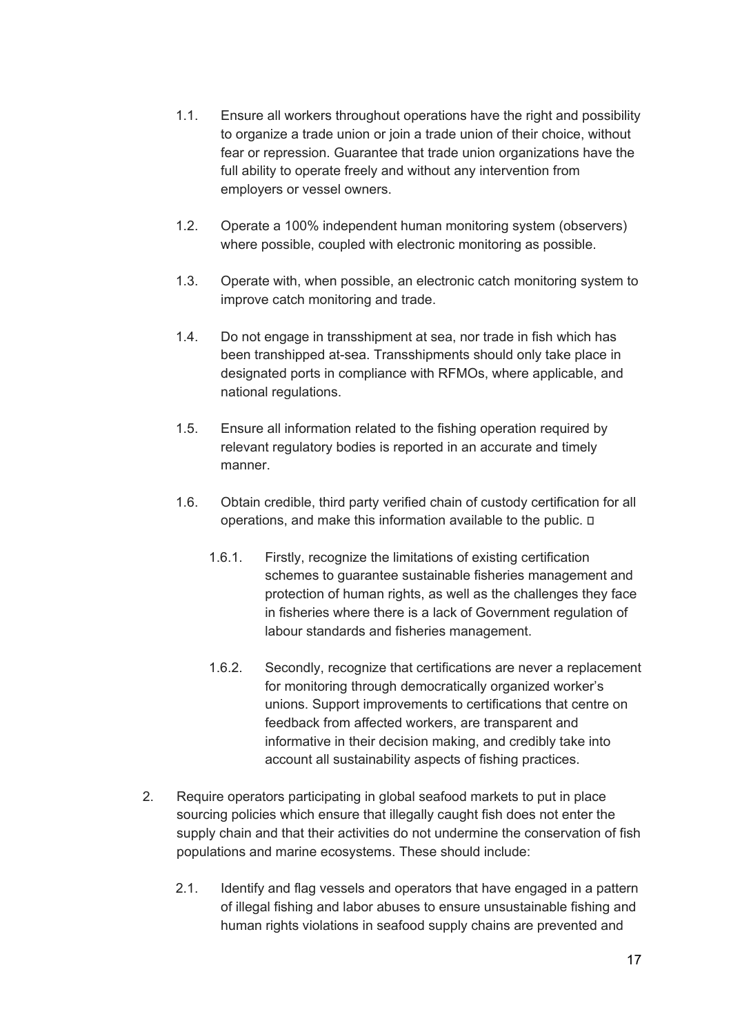- 1.1. Ensure all workers throughout operations have the right and possibility to organize a trade union or join a trade union of their choice, without fear or repression. Guarantee that trade union organizations have the full ability to operate freely and without any intervention from employers or vessel owners.
- 1.2. Operate a 100% independent human monitoring system (observers) where possible, coupled with electronic monitoring as possible.
- 1.3. Operate with, when possible, an electronic catch monitoring system to improve catch monitoring and trade.
- 1.4. Do not engage in transshipment at sea, nor trade in fish which has been transhipped at-sea. Transshipments should only take place in designated ports in compliance with RFMOs, where applicable, and national regulations.
- 1.5. Ensure all information related to the fishing operation required by relevant regulatory bodies is reported in an accurate and timely manner.
- 1.6. Obtain credible, third party verified chain of custody certification for all operations, and make this information available to the public.
	- 1.6.1. Firstly, recognize the limitations of existing certification schemes to guarantee sustainable fisheries management and protection of human rights, as well as the challenges they face in fisheries where there is a lack of Government regulation of labour standards and fisheries management.
	- 1.6.2. Secondly, recognize that certifications are never a replacement for monitoring through democratically organized worker's unions. Support improvements to certifications that centre on feedback from affected workers, are transparent and informative in their decision making, and credibly take into account all sustainability aspects of fishing practices.
- 2. Require operators participating in global seafood markets to put in place sourcing policies which ensure that illegally caught fish does not enter the supply chain and that their activities do not undermine the conservation of fish populations and marine ecosystems. These should include:
	- 2.1. Identify and flag vessels and operators that have engaged in a pattern of illegal fishing and labor abuses to ensure unsustainable fishing and human rights violations in seafood supply chains are prevented and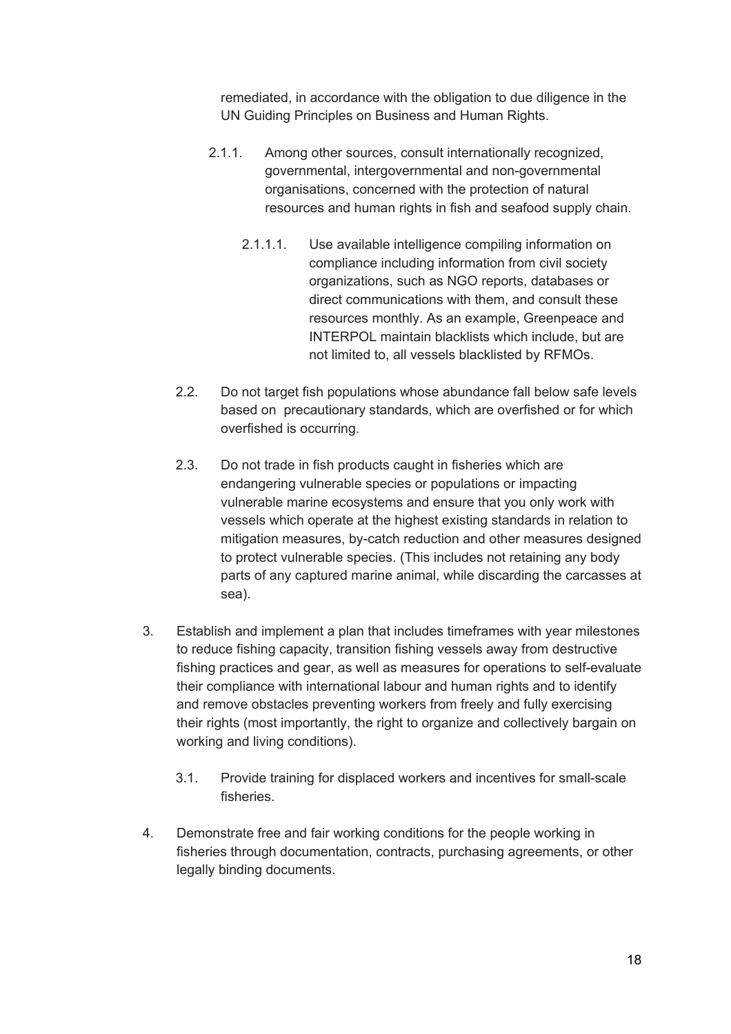remediated, in accordance with the obligation to due diligence in the UN Guiding Principles on Business and Human Rights.

- 2.1.1. Among other sources, consult internationally recognized, governmental, intergovernmental and non-governmental organisations, concerned with the protection of natural resources and human rights in fish and seafood supply chain.
	- 2.1.1.1. Use available intelligence compiling information on compliance including information from civil society organizations, such as NGO reports, databases or direct communications with them, and consult these resources monthly. As an example, Greenpeace and INTERPOL maintain blacklists which include, but are not limited to, all vessels blacklisted by RFMOs.
- 2.2. Do not target fish populations whose abundance fall below safe levels based on precautionary standards, which are overfished or for which overfished is occurring.
- 2.3. Do not trade in fish products caught in fisheries which are endangering vulnerable species or populations or impacting vulnerable marine ecosystems and ensure that you only work with vessels which operate at the highest existing standards in relation to mitigation measures, by-catch reduction and other measures designed to protect vulnerable species. (This includes not retaining any body parts of any captured marine animal, while discarding the carcasses at sea).
- 3. Establish and implement a plan that includes timeframes with year milestones to reduce fishing capacity, transition fishing vessels away from destructive fishing practices and gear, as well as measures for operations to self-evaluate their compliance with international labour and human rights and to identify and remove obstacles preventing workers from freely and fully exercising their rights (most importantly, the right to organize and collectively bargain on working and living conditions).
	- 3.1. Provide training for displaced workers and incentives for small-scale fisheries.
- 4. Demonstrate free and fair working conditions for the people working in fisheries through documentation, contracts, purchasing agreements, or other legally binding documents.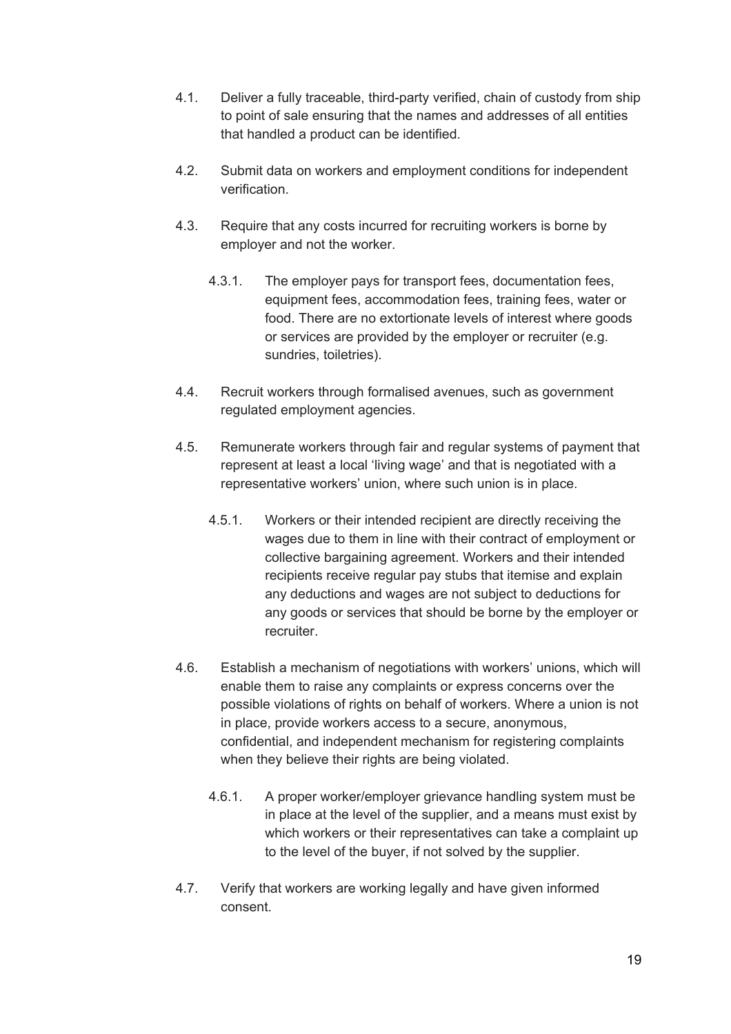- 4.1. Deliver a fully traceable, third-party verified, chain of custody from ship to point of sale ensuring that the names and addresses of all entities that handled a product can be identified.
- 4.2. Submit data on workers and employment conditions for independent verification.
- 4.3. Require that any costs incurred for recruiting workers is borne by employer and not the worker.
	- 4.3.1. The employer pays for transport fees, documentation fees, equipment fees, accommodation fees, training fees, water or food. There are no extortionate levels of interest where goods or services are provided by the employer or recruiter (e.g. sundries, toiletries).
- 4.4. Recruit workers through formalised avenues, such as government regulated employment agencies.
- 4.5. Remunerate workers through fair and regular systems of payment that represent at least a local 'living wage' and that is negotiated with a representative workers' union, where such union is in place.
	- 4.5.1. Workers or their intended recipient are directly receiving the wages due to them in line with their contract of employment or collective bargaining agreement. Workers and their intended recipients receive regular pay stubs that itemise and explain any deductions and wages are not subject to deductions for any goods or services that should be borne by the employer or recruiter.
- 4.6. Establish a mechanism of negotiations with workers' unions, which will enable them to raise any complaints or express concerns over the possible violations of rights on behalf of workers. Where a union is not in place, provide workers access to a secure, anonymous, confidential, and independent mechanism for registering complaints when they believe their rights are being violated.
	- 4.6.1. A proper worker/employer grievance handling system must be in place at the level of the supplier, and a means must exist by which workers or their representatives can take a complaint up to the level of the buyer, if not solved by the supplier.
- 4.7. Verify that workers are working legally and have given informed consent.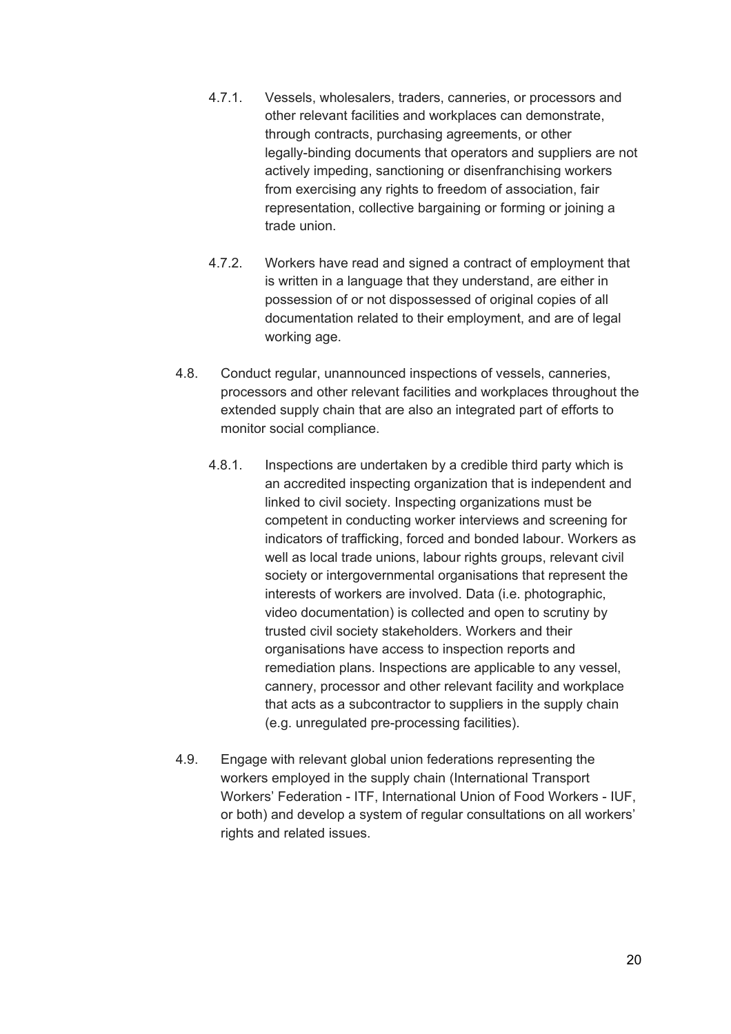- 4.7.1. Vessels, wholesalers, traders, canneries, or processors and other relevant facilities and workplaces can demonstrate, through contracts, purchasing agreements, or other legally-binding documents that operators and suppliers are not actively impeding, sanctioning or disenfranchising workers from exercising any rights to freedom of association, fair representation, collective bargaining or forming or joining a trade union.
- 4.7.2. Workers have read and signed a contract of employment that is written in a language that they understand, are either in possession of or not dispossessed of original copies of all documentation related to their employment, and are of legal working age.
- 4.8. Conduct regular, unannounced inspections of vessels, canneries, processors and other relevant facilities and workplaces throughout the extended supply chain that are also an integrated part of efforts to monitor social compliance.
	- 4.8.1. Inspections are undertaken by a credible third party which is an accredited inspecting organization that is independent and linked to civil society. Inspecting organizations must be competent in conducting worker interviews and screening for indicators of trafficking, forced and bonded labour. Workers as well as local trade unions, labour rights groups, relevant civil society or intergovernmental organisations that represent the interests of workers are involved. Data (i.e. photographic, video documentation) is collected and open to scrutiny by trusted civil society stakeholders. Workers and their organisations have access to inspection reports and remediation plans. Inspections are applicable to any vessel, cannery, processor and other relevant facility and workplace that acts as a subcontractor to suppliers in the supply chain (e.g. unregulated pre-processing facilities).
- 4.9. Engage with relevant global union federations representing the workers employed in the supply chain (International Transport Workers' Federation - ITF, International Union of Food Workers - IUF, or both) and develop a system of regular consultations on all workers' rights and related issues.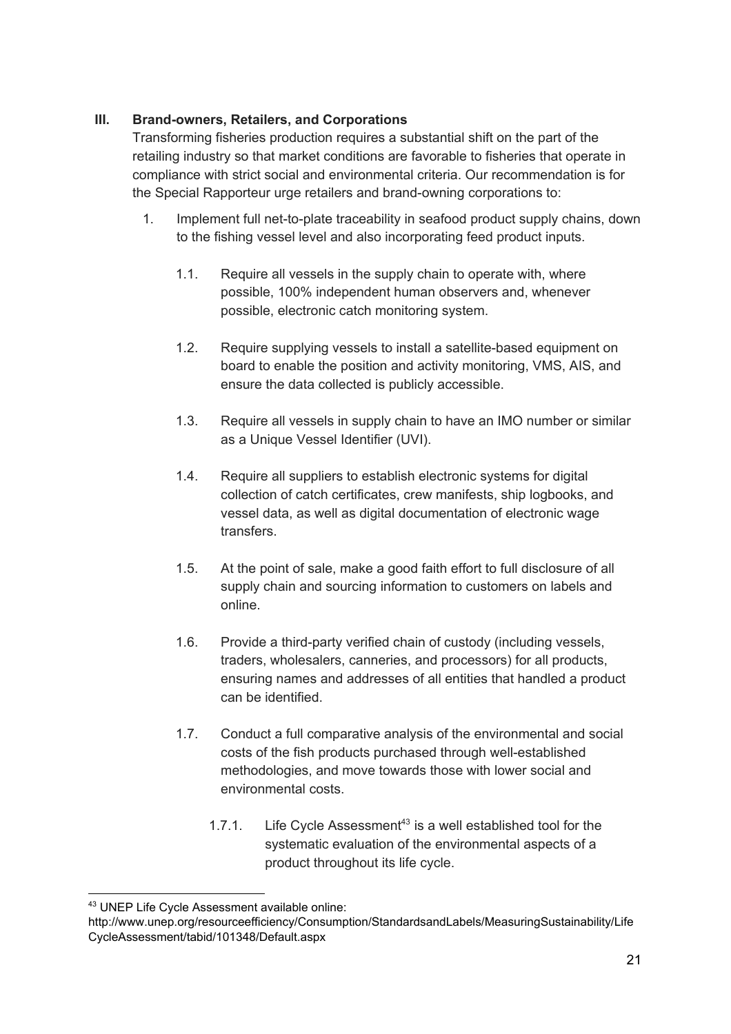### **III. Brand-owners, Retailers, and Corporations**

Transforming fisheries production requires a substantial shift on the part of the retailing industry so that market conditions are favorable to fisheries that operate in compliance with strict social and environmental criteria. Our recommendation is for the Special Rapporteur urge retailers and brand-owning corporations to:

- 1. Implement full net-to-plate traceability in seafood product supply chains, down to the fishing vessel level and also incorporating feed product inputs.
	- 1.1. Require all vessels in the supply chain to operate with, where possible, 100% independent human observers and, whenever possible, electronic catch monitoring system.
	- 1.2. Require supplying vessels to install a satellite-based equipment on board to enable the position and activity monitoring, VMS, AIS, and ensure the data collected is publicly accessible.
	- 1.3. Require all vessels in supply chain to have an IMO number or similar as a Unique Vessel Identifier (UVI).
	- 1.4. Require all suppliers to establish electronic systems for digital collection of catch certificates, crew manifests, ship logbooks, and vessel data, as well as digital documentation of electronic wage transfers.
	- 1.5. At the point of sale, make a good faith effort to full disclosure of all supply chain and sourcing information to customers on labels and online.
	- 1.6. Provide a third-party verified chain of custody (including vessels, traders, wholesalers, canneries, and processors) for all products, ensuring names and addresses of all entities that handled a product can be identified.
	- 1.7. Conduct a full comparative analysis of the environmental and social costs of the fish products purchased through well-established methodologies, and move towards those with lower social and environmental costs.
		- 1.7.1. Life Cycle Assessment<sup>43</sup> is a well established tool for the systematic evaluation of the environmental aspects of a product throughout its life cycle.

<sup>43</sup> UNEP Life Cycle Assessment available online:

http://www.unep.org/resourceefficiency/Consumption/StandardsandLabels/MeasuringSustainability/Life CycleAssessment/tabid/101348/Default.aspx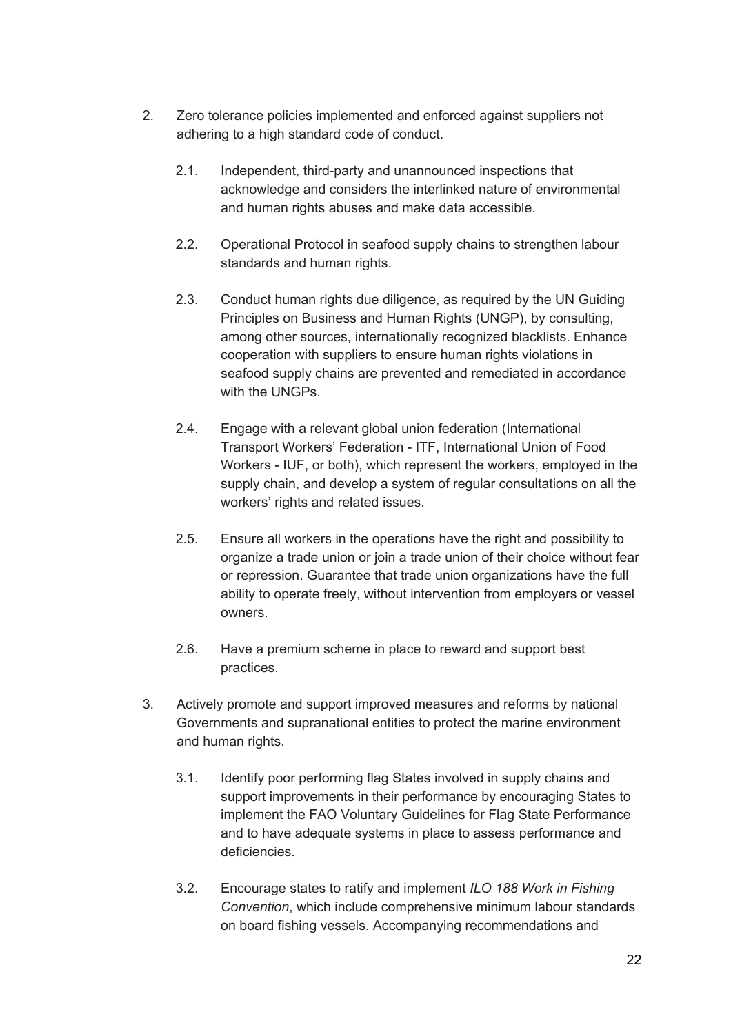- 2. Zero tolerance policies implemented and enforced against suppliers not adhering to a high standard code of conduct.
	- 2.1. Independent, third-party and unannounced inspections that acknowledge and considers the interlinked nature of environmental and human rights abuses and make data accessible.
	- 2.2. Operational Protocol in seafood supply chains to strengthen labour standards and human rights.
	- 2.3. Conduct human rights due diligence, as required by the UN Guiding Principles on Business and Human Rights (UNGP), by consulting, among other sources, internationally recognized blacklists. Enhance cooperation with suppliers to ensure human rights violations in seafood supply chains are prevented and remediated in accordance with the UNGPs.
	- 2.4. Engage with a relevant global union federation (International Transport Workers' Federation - ITF, International Union of Food Workers - IUF, or both), which represent the workers, employed in the supply chain, and develop a system of regular consultations on all the workers' rights and related issues.
	- 2.5. Ensure all workers in the operations have the right and possibility to organize a trade union or join a trade union of their choice without fear or repression. Guarantee that trade union organizations have the full ability to operate freely, without intervention from employers or vessel owners.
	- 2.6. Have a premium scheme in place to reward and support best practices.
- 3. Actively promote and support improved measures and reforms by national Governments and supranational entities to protect the marine environment and human rights.
	- 3.1. Identify poor performing flag States involved in supply chains and support improvements in their performance by encouraging States to implement the FAO Voluntary Guidelines for Flag State Performance and to have adequate systems in place to assess performance and deficiencies.
	- 3.2. Encourage states to ratify and implement *ILO 188 Work in Fishing Convention*, which include comprehensive minimum labour standards on board fishing vessels. Accompanying recommendations and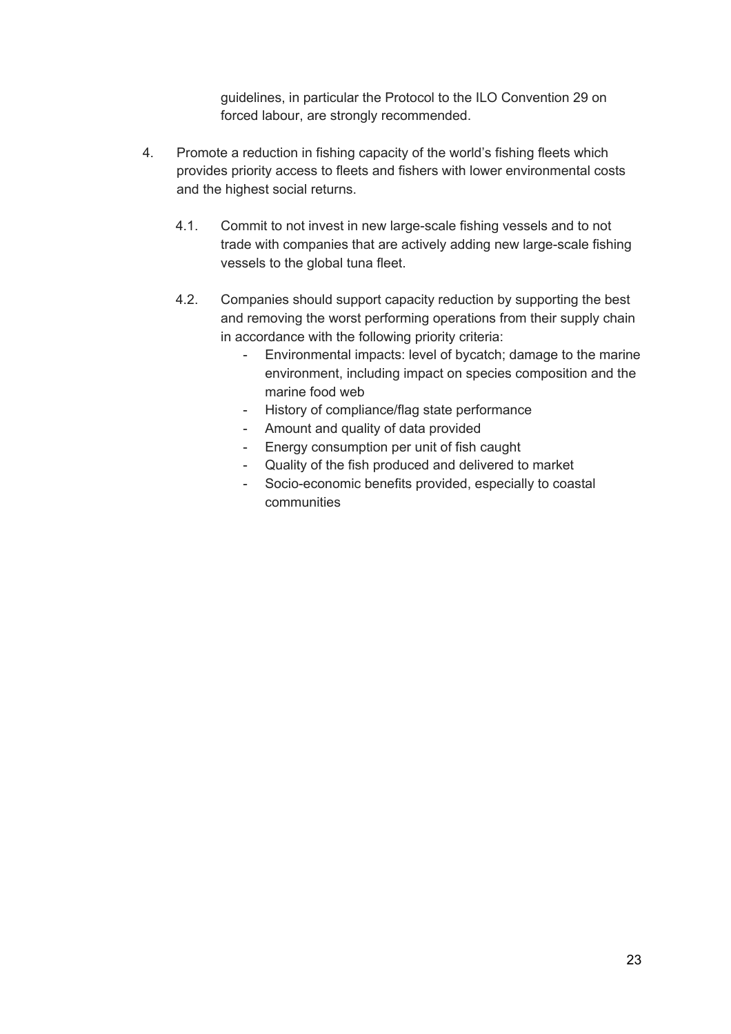guidelines, in particular the Protocol to the ILO Convention 29 on forced labour, are strongly recommended.

- 4. Promote a reduction in fishing capacity of the world's fishing fleets which provides priority access to fleets and fishers with lower environmental costs and the highest social returns.
	- 4.1. Commit to not invest in new large-scale fishing vessels and to not trade with companies that are actively adding new large-scale fishing vessels to the global tuna fleet.
	- 4.2. Companies should support capacity reduction by supporting the best and removing the worst performing operations from their supply chain in accordance with the following priority criteria:
		- Environmental impacts: level of bycatch; damage to the marine environment, including impact on species composition and the marine food web
		- History of compliance/flag state performance
		- Amount and quality of data provided
		- Energy consumption per unit of fish caught
		- Quality of the fish produced and delivered to market
		- Socio-economic benefits provided, especially to coastal communities